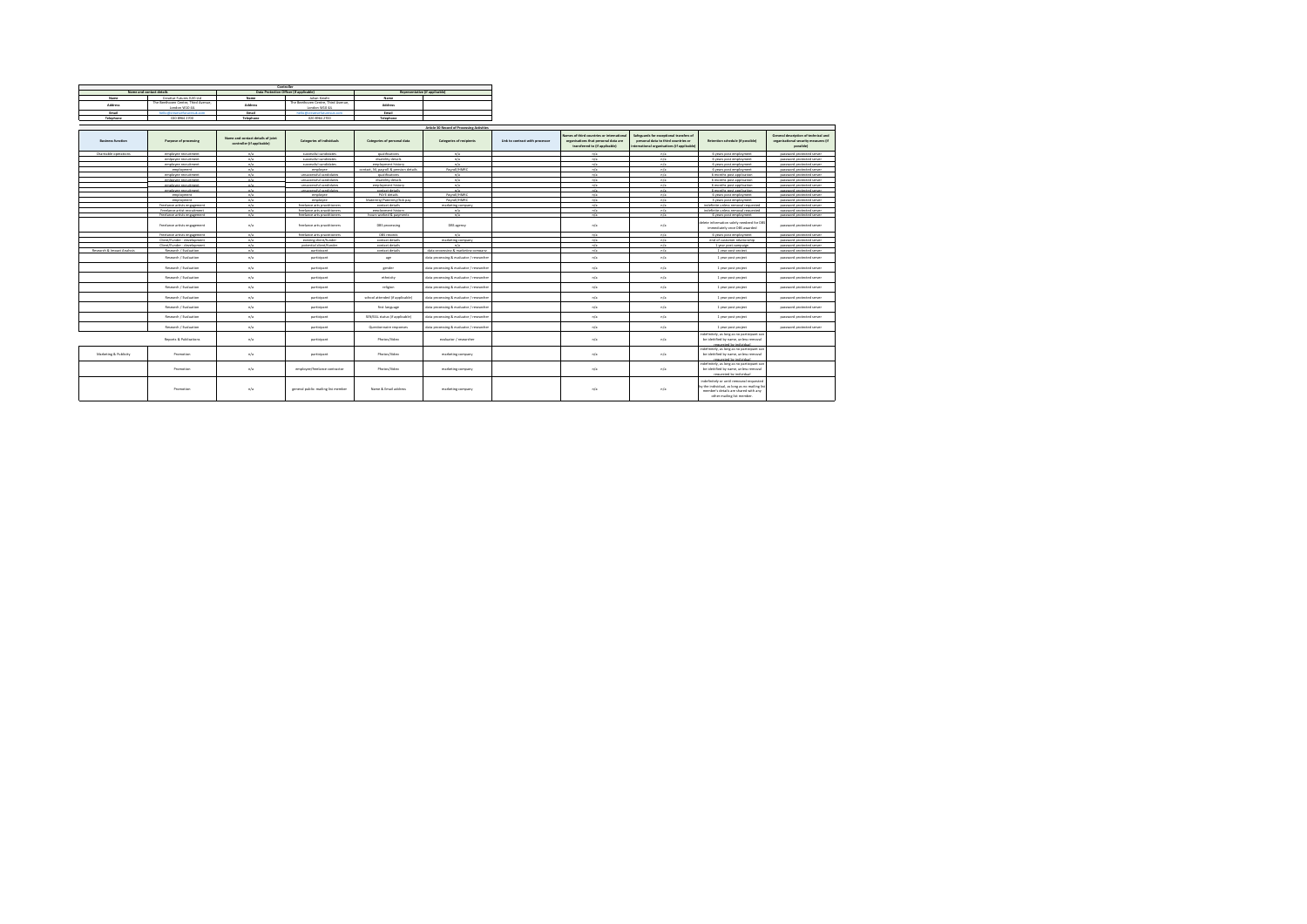|                                            |                                                     |                                                                 | Controller                                           |                                          |                                          |                                 |                                                                                                                     |                                                                                                                             |                                                                                                                                                                 |                                                                                           |  |  |  |
|--------------------------------------------|-----------------------------------------------------|-----------------------------------------------------------------|------------------------------------------------------|------------------------------------------|------------------------------------------|---------------------------------|---------------------------------------------------------------------------------------------------------------------|-----------------------------------------------------------------------------------------------------------------------------|-----------------------------------------------------------------------------------------------------------------------------------------------------------------|-------------------------------------------------------------------------------------------|--|--|--|
| Name and contact details                   |                                                     | Data Protection Officer (if applicable)                         |                                                      | Representative (if applicable)           |                                          |                                 |                                                                                                                     |                                                                                                                             |                                                                                                                                                                 |                                                                                           |  |  |  |
| Name                                       | Creative Futures (UK) Ltd.                          | Name                                                            | Julian Knight                                        | Name <sub>.</sub>                        |                                          |                                 |                                                                                                                     |                                                                                                                             |                                                                                                                                                                 |                                                                                           |  |  |  |
| <b>Address</b>                             | The Beethoven Centre, Third Avenue.                 | Address                                                         | The Beethoven Centre, Third Avenue.                  | Address                                  |                                          |                                 |                                                                                                                     |                                                                                                                             |                                                                                                                                                                 |                                                                                           |  |  |  |
| Fresh                                      | London W10 48.<br>balled treation for cease in com- | <b>French</b>                                                   | London W10 4/L<br>hall offerentiation interests com- | <b>Court</b>                             |                                          |                                 |                                                                                                                     |                                                                                                                             |                                                                                                                                                                 |                                                                                           |  |  |  |
| Telephone                                  | 020 8964 2700                                       | Telephone                                                       | 020 8964 2700                                        | Telephone                                |                                          |                                 |                                                                                                                     |                                                                                                                             |                                                                                                                                                                 |                                                                                           |  |  |  |
|                                            |                                                     |                                                                 |                                                      |                                          |                                          |                                 |                                                                                                                     |                                                                                                                             |                                                                                                                                                                 |                                                                                           |  |  |  |
| Article 30 Record of Processing Activities |                                                     |                                                                 |                                                      |                                          |                                          |                                 |                                                                                                                     |                                                                                                                             |                                                                                                                                                                 |                                                                                           |  |  |  |
| Business function                          | Purpose of processing                               | Name and contact details of joint<br>controller (if applicable) | <b>Categories of Individuals</b>                     | Categories of personal data              | <b>Categories of recipients</b>          | Link to contract with processor | tames of third countries or international<br>organisations that personal data are<br>transferred to (if applicable) | Saferwards for exceptional transfers of<br>personal data to third countries or<br>nternational organisations (if applicable | Retention schedule (if possible)                                                                                                                                | General description of technical and<br>organisational security measures (if<br>passible) |  |  |  |
| Charitable operations                      | amplroas racculterant                               | n/a                                                             | surressful carefidates                               | multimation                              | n/a                                      |                                 | $-4$                                                                                                                | $-1$                                                                                                                        | 6 years post employment                                                                                                                                         | password protected serve                                                                  |  |  |  |
|                                            | emigovee recruitment                                | n/a                                                             | successful candidates                                | disability details.                      | m/a                                      |                                 | n/a                                                                                                                 | n/a                                                                                                                         | 6 years post employment                                                                                                                                         | password protected server                                                                 |  |  |  |
|                                            | amelessa rarruitesant                               | n/a                                                             | surressful carefulates                               | ampleyment history                       | n/a                                      |                                 | n/s                                                                                                                 | n/a                                                                                                                         | 6 years post employment                                                                                                                                         | password protected server                                                                 |  |  |  |
|                                            | employment                                          | n/a                                                             | employee                                             | contact N1 morell & nansing datable      | <b>Payment (HARD)</b>                    |                                 | mfa                                                                                                                 | n/a                                                                                                                         | 6 years post employment                                                                                                                                         | password protected server                                                                 |  |  |  |
|                                            | amplroas racculterant                               | n/a                                                             | concernantial candidates                             | multications                             | n/a<br>n/a                               |                                 | m/s<br>n/s                                                                                                          | n/a<br>n/s                                                                                                                  | 6 months next anglication                                                                                                                                       | nassword protected server                                                                 |  |  |  |
|                                            | emigovee recruitment<br>employee recruitment        | n/a<br>n/a                                                      | unsuccessful candidates<br>unsuccessful candidates   | disability details<br>employment history | n/a                                      |                                 | m/a                                                                                                                 | n/a                                                                                                                         | 6 months post application<br>6 months post application                                                                                                          | password protected server<br>password protected server                                    |  |  |  |
|                                            | employee recruitment                                | n/a                                                             | unsuccessful candidates.                             | contact details                          | n/a                                      |                                 | n/a                                                                                                                 | n/a                                                                                                                         | 6 months post application                                                                                                                                       | password protected server                                                                 |  |  |  |
|                                            | employment                                          | n/a                                                             | employee                                             | DAYE details                             | Paymil/HMBC                              |                                 | h                                                                                                                   | n/a                                                                                                                         | 6 years post employment                                                                                                                                         | password protected server                                                                 |  |  |  |
|                                            | amalayesan                                          | n/a                                                             |                                                      | Maternity/Paternity/Sick pay             | Paymil/HMBC                              |                                 | n/s                                                                                                                 | n/s                                                                                                                         | I years post employment                                                                                                                                         | nassand protected serve                                                                   |  |  |  |
|                                            | Freelance artists engagement                        | n/a                                                             | freelance arts practitioners                         | contact details                          | marketing company.                       |                                 | n/a                                                                                                                 | n/a                                                                                                                         | indefinite unless removal requested                                                                                                                             | password protected server                                                                 |  |  |  |
|                                            | Freelance artist recruitment                        | n/a                                                             | freelance arts practitioners                         | employment history                       | n/a                                      |                                 | m/a                                                                                                                 | n/a                                                                                                                         | Indefinite unless removal requested                                                                                                                             | password protected server                                                                 |  |  |  |
|                                            | Freelance artists engagement                        | n/a                                                             | freelance arts neartitingary                         | hours worked & payments                  | $-4$                                     |                                 | n/s                                                                                                                 | $-1$                                                                                                                        | 6 years post employment                                                                                                                                         | password protected server                                                                 |  |  |  |
|                                            | Freelance artists engagement                        | n/a                                                             | freelance arts practitioners                         | DBS processing                           | DBS agency                               |                                 | n/a                                                                                                                 | n/a                                                                                                                         | telete information solely needeed for DBS<br>Immediately once DBS awarded                                                                                       | password protected server                                                                 |  |  |  |
|                                            | Freelance artists engagement                        | n/a                                                             | freelance arts practitioners                         | DBS records                              | n/a                                      |                                 | n/s                                                                                                                 | n/s                                                                                                                         | 6 years post employment                                                                                                                                         | password protected server                                                                 |  |  |  |
|                                            | Client Runder - desalpament                         | n/a                                                             | existing client/funder                               | contact details                          | marketing commany                        |                                 | n/s                                                                                                                 | n/a                                                                                                                         | and of contempt relationship                                                                                                                                    | nassword protected serve                                                                  |  |  |  |
|                                            | Client/Funder - development                         | n/a                                                             | cotential client/funder                              | contact details                          | n/a                                      |                                 | n/a                                                                                                                 | n/a<br>n/a                                                                                                                  | I year post campaign                                                                                                                                            | password protected server                                                                 |  |  |  |
| Research & Impact Analysis                 | Research / Evaluation                               | n/a                                                             | participant                                          | contact details                          | data processing & marketing company      |                                 | n/a                                                                                                                 |                                                                                                                             | 1 year post project                                                                                                                                             | password protected server                                                                 |  |  |  |
|                                            | Research / Evaluation                               | n/a                                                             | participant                                          | age                                      | data processing & evaluator / researcher |                                 | n/a                                                                                                                 | n/a                                                                                                                         | 1 year post project                                                                                                                                             | password protected server                                                                 |  |  |  |
|                                            | Research / Evaluation                               | n/a                                                             | participant                                          | gender                                   | data processing & evaluator / researcher |                                 | n/a                                                                                                                 | n/a                                                                                                                         | 1 year post project                                                                                                                                             | password protected server                                                                 |  |  |  |
|                                            | Research / Evaluation                               | n/a                                                             | participant                                          | ethnicity                                | data processing & evaluator / researcher |                                 | n/a                                                                                                                 | n/a                                                                                                                         | 1 year post project                                                                                                                                             | password protected server                                                                 |  |  |  |
|                                            | Research / Evaluation                               | n/a                                                             | participant                                          | religion                                 | data processing & evaluator / researcher |                                 | n/a                                                                                                                 | n/a                                                                                                                         | 1 year post project                                                                                                                                             | password protected server                                                                 |  |  |  |
|                                            | Research / Evaluation                               | n/a                                                             | participant                                          | school attended (if applicable)          | data processing & evaluator / researcher |                                 | n/a                                                                                                                 | n/a                                                                                                                         | 1 year post project                                                                                                                                             | password protected server                                                                 |  |  |  |
|                                            | Research / Evaluation                               | n/a                                                             | participant                                          | first language                           | data processing & evaluator / researcher |                                 | n/a                                                                                                                 | n/a                                                                                                                         | 1 year post project                                                                                                                                             | password protected server                                                                 |  |  |  |
|                                            | Research / Evaluation                               | n/a                                                             | participant                                          | SEN/EAL status of applicable!            | data processing & evaluator / researcher |                                 | n/a                                                                                                                 | n/a                                                                                                                         | 1 year post project                                                                                                                                             | password protected server                                                                 |  |  |  |
|                                            | Research / Evaluation                               | n/a                                                             | participant                                          | Questionnaire responses                  | data processing & evaluator / researcher |                                 | n/a                                                                                                                 | n/a                                                                                                                         | 1 year post project                                                                                                                                             | password protected server                                                                 |  |  |  |
|                                            | Reports & Publications                              | n/a                                                             | participant                                          | Photos/Mdeo                              | evaluator / researcher                   |                                 | n/a                                                                                                                 | n/a                                                                                                                         | indefinitely, as long as no participant car<br>be ideitified by name, unless removal<br>remainted by industrial                                                 |                                                                                           |  |  |  |
| Marketing & Publicity                      | Promotion                                           | n/a                                                             | participant                                          | Photos/Wdeo                              | marketing company.                       |                                 | n/a                                                                                                                 | n/a                                                                                                                         | ndefinitely, as long as no participant can<br>be ideitified by name, unless removal<br>requested by individual                                                  |                                                                                           |  |  |  |
|                                            | Promotion                                           | n/a                                                             | employee/freelance contractor                        | Photos/Wdeo                              | marketing company                        |                                 | n/a                                                                                                                 | n/a                                                                                                                         | indefinitely, as long as no participant car<br>be ideitified by name, unless removal<br>requested by individual                                                 |                                                                                           |  |  |  |
|                                            | Promotion                                           | n/a                                                             | general public: mailing list member                  | Name & Email address                     | marketing company                        |                                 | n/a                                                                                                                 | n/a                                                                                                                         | indefinitely or until removeal requested<br>by the individual, as long as no mailing list<br>member's details are shared with any<br>other mailing list member. |                                                                                           |  |  |  |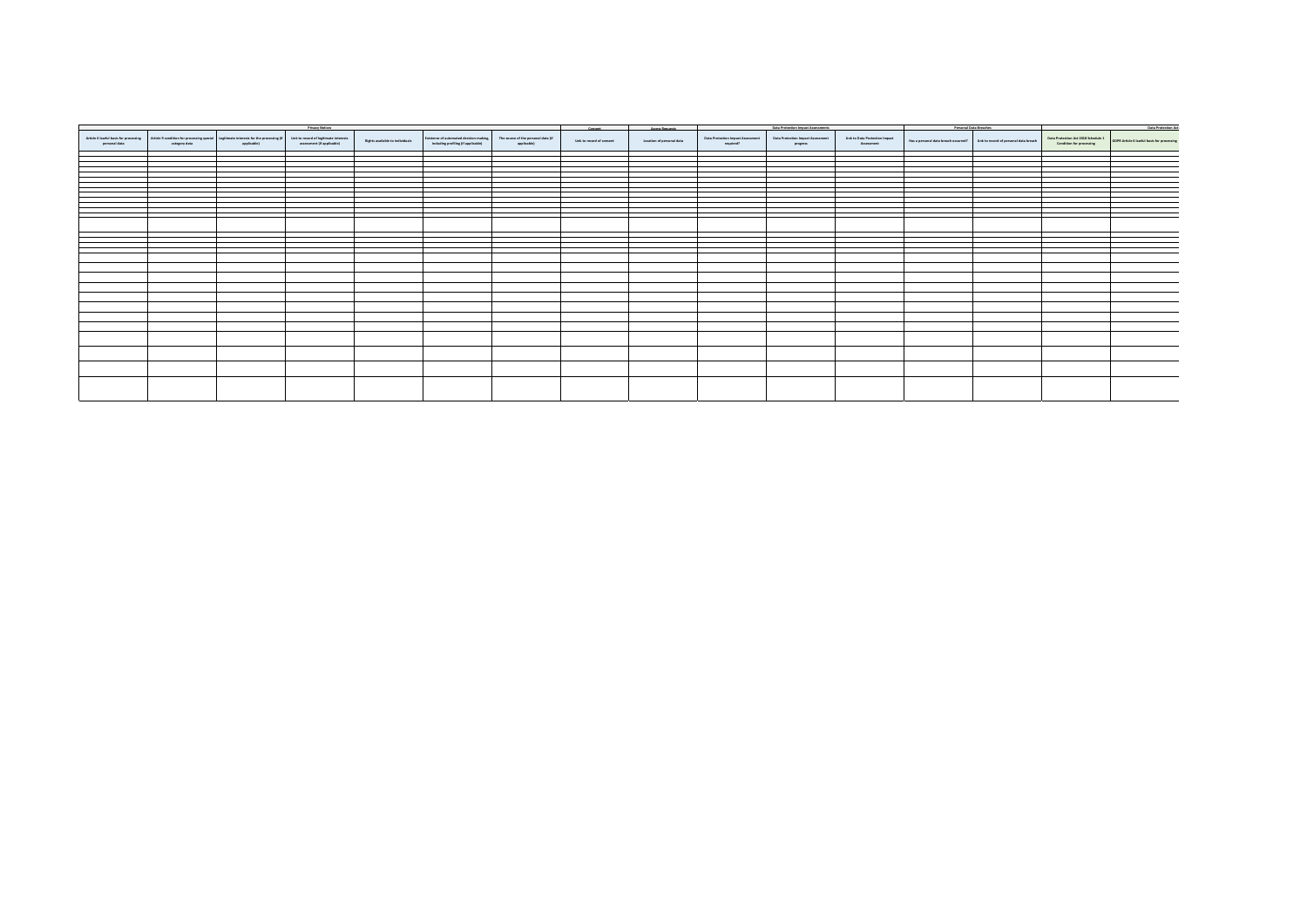|               | <b>Privacy Notices</b> |                                                                                                                                             |                                                                      |                                        |                                                                                                                    | Consent     | <b>Access Requests</b>    | Data Protection Impact Assessments |                                                       | Personal Data Breaches                               |                                              | Data Protection Act: |                                                                             |                                                                 |                                            |
|---------------|------------------------|---------------------------------------------------------------------------------------------------------------------------------------------|----------------------------------------------------------------------|----------------------------------------|--------------------------------------------------------------------------------------------------------------------|-------------|---------------------------|------------------------------------|-------------------------------------------------------|------------------------------------------------------|----------------------------------------------|----------------------|-----------------------------------------------------------------------------|-----------------------------------------------------------------|--------------------------------------------|
| personal data | category data          | Article 6 lawful basis for processing Article 9 condition for processing special Legitimate interests for the processing (if<br>applicable) | Link to record of legitimate interests<br>assessment (if applicable) | <b>Rights available to individuals</b> | Existence of automated decision-making, The source of the personal data (if<br>including profiling (if applicable) | applicable) | Link to record of consent | Location of personal data          | <b>Data Protection Impact Assessment</b><br>required? | <b>Data Protection Impact Assessment</b><br>progress | Link to Data Protection Impact<br>Assessment |                      | Has a personal data breach occurred? Link to record of personal data breach | Data Protection Act 2018 Schedule 1<br>Condition for processing | GDPR Article 6 lawful basis for processing |
|               |                        |                                                                                                                                             |                                                                      |                                        |                                                                                                                    |             |                           |                                    |                                                       |                                                      |                                              |                      |                                                                             |                                                                 |                                            |
|               |                        |                                                                                                                                             |                                                                      |                                        |                                                                                                                    |             |                           |                                    |                                                       |                                                      |                                              |                      |                                                                             |                                                                 |                                            |
|               |                        |                                                                                                                                             |                                                                      |                                        |                                                                                                                    |             |                           |                                    |                                                       |                                                      |                                              |                      |                                                                             |                                                                 |                                            |
|               |                        |                                                                                                                                             |                                                                      |                                        |                                                                                                                    |             |                           |                                    |                                                       |                                                      |                                              |                      |                                                                             |                                                                 |                                            |
|               |                        |                                                                                                                                             |                                                                      |                                        |                                                                                                                    |             |                           |                                    |                                                       |                                                      |                                              |                      |                                                                             |                                                                 |                                            |
|               |                        |                                                                                                                                             |                                                                      |                                        |                                                                                                                    |             |                           |                                    |                                                       |                                                      |                                              |                      |                                                                             |                                                                 |                                            |
|               |                        |                                                                                                                                             |                                                                      |                                        |                                                                                                                    |             |                           |                                    |                                                       |                                                      |                                              |                      |                                                                             |                                                                 |                                            |
|               |                        |                                                                                                                                             |                                                                      |                                        |                                                                                                                    |             |                           |                                    |                                                       |                                                      |                                              |                      |                                                                             |                                                                 |                                            |
|               |                        |                                                                                                                                             |                                                                      |                                        |                                                                                                                    |             |                           |                                    |                                                       |                                                      |                                              |                      |                                                                             |                                                                 |                                            |
|               |                        |                                                                                                                                             |                                                                      |                                        |                                                                                                                    |             |                           |                                    |                                                       |                                                      |                                              |                      |                                                                             |                                                                 |                                            |
|               |                        |                                                                                                                                             |                                                                      |                                        |                                                                                                                    |             |                           |                                    |                                                       |                                                      |                                              |                      |                                                                             |                                                                 |                                            |
|               |                        |                                                                                                                                             |                                                                      |                                        |                                                                                                                    |             |                           |                                    |                                                       |                                                      |                                              |                      |                                                                             |                                                                 |                                            |
|               |                        |                                                                                                                                             |                                                                      |                                        |                                                                                                                    |             |                           |                                    |                                                       |                                                      |                                              |                      |                                                                             |                                                                 |                                            |
|               |                        |                                                                                                                                             |                                                                      |                                        |                                                                                                                    |             |                           |                                    |                                                       |                                                      |                                              |                      |                                                                             |                                                                 |                                            |
|               |                        |                                                                                                                                             |                                                                      |                                        |                                                                                                                    |             |                           |                                    |                                                       |                                                      |                                              |                      |                                                                             |                                                                 |                                            |
|               |                        |                                                                                                                                             |                                                                      |                                        |                                                                                                                    |             |                           |                                    |                                                       |                                                      |                                              |                      |                                                                             |                                                                 |                                            |
|               |                        |                                                                                                                                             |                                                                      |                                        |                                                                                                                    |             |                           |                                    |                                                       |                                                      |                                              |                      |                                                                             |                                                                 |                                            |
|               |                        |                                                                                                                                             |                                                                      |                                        |                                                                                                                    |             |                           |                                    |                                                       |                                                      |                                              |                      |                                                                             |                                                                 |                                            |
|               |                        |                                                                                                                                             |                                                                      |                                        |                                                                                                                    |             |                           |                                    |                                                       |                                                      |                                              |                      |                                                                             |                                                                 |                                            |
|               |                        |                                                                                                                                             |                                                                      |                                        |                                                                                                                    |             |                           |                                    |                                                       |                                                      |                                              |                      |                                                                             |                                                                 |                                            |
|               |                        |                                                                                                                                             |                                                                      |                                        |                                                                                                                    |             |                           |                                    |                                                       |                                                      |                                              |                      |                                                                             |                                                                 |                                            |
|               |                        |                                                                                                                                             |                                                                      |                                        |                                                                                                                    |             |                           |                                    |                                                       |                                                      |                                              |                      |                                                                             |                                                                 |                                            |
|               |                        |                                                                                                                                             |                                                                      |                                        |                                                                                                                    |             |                           |                                    |                                                       |                                                      |                                              |                      |                                                                             |                                                                 |                                            |
|               |                        |                                                                                                                                             |                                                                      |                                        |                                                                                                                    |             |                           |                                    |                                                       |                                                      |                                              |                      |                                                                             |                                                                 |                                            |
|               |                        |                                                                                                                                             |                                                                      |                                        |                                                                                                                    |             |                           |                                    |                                                       |                                                      |                                              |                      |                                                                             |                                                                 |                                            |
|               |                        |                                                                                                                                             |                                                                      |                                        |                                                                                                                    |             |                           |                                    |                                                       |                                                      |                                              |                      |                                                                             |                                                                 |                                            |
|               |                        |                                                                                                                                             |                                                                      |                                        |                                                                                                                    |             |                           |                                    |                                                       |                                                      |                                              |                      |                                                                             |                                                                 |                                            |